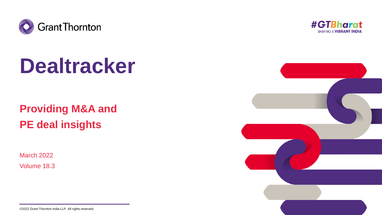

# **Dealtracker**

## **Providing M&A and PE deal insights**

March 2022

Volume 18.3



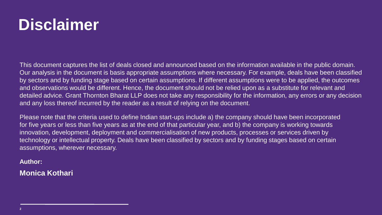## **Disclaimer**

This document captures the list of deals closed and announced based on the information available in the public domain.<br>Our analysis in the document is basis appropriate assumptions where necessary. For example, deals have by sectors and by funding stage based on certain assumptions. If unferent assumptions were to be applied, the outed<br>and observations would be different. Hence, the document should not be relied upon as a substitute for rel This document captures the list of deals closed and announced based on the information available in the public domain. by sectors and by funding stage based on certain assumptions. If different assumptions were to be applied, the outcomes detailed advice. Grant Thornton Bharat LLP does not take any responsibility for the information, any errors or any decision and any loss thereof incurred by the reader as a result of relying on the document.

**Click to add name** assumptions, wherever necessary. Please note that the criteria used to define Indian start-ups include a) the company should have been incorporated for five years or less than five years as at the end of that particular year, and b) the company is working towards innovation, development, deployment and commercialisation of new products, processes or services driven by technology or intellectual property. Deals have been classified by sectors and by funding stages based on certain

## $\mathsf{Author:}\qquad \qquad \blacksquare$ **Author:**

## **Monica Kothari**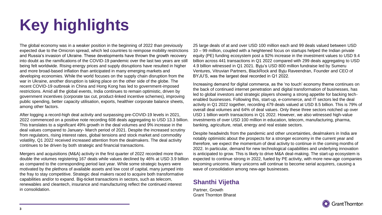# **Key highlights**

The global economy was in a weaker position in the beginning of 2022 than previously expected due to the Omicron spread, which led countries to reimpose mobility restrictions and Russia's invasion of Ukraine. These developments have thrown the growth recovery into doubt as the ramifications of the COVID-19 pandemic over the last two years are still being felt worldwide. Rising energy prices and supply disruptions have resulted in higher and more broad-based inflation than anticipated in many emerging markets and developing economies. While the world focuses on the supply chain disruption from the war in Ukraine, another disruption is taking place on the other side of the globe. The recent COVID-19 outbreak in China and Hong Kong has led to government-imposed restrictions. Amid all the global events, India continues to remain optimistic, driven by government incentives (corporate tax cut, product-linked incentive schemes), improving public spending, better capacity utilisation, exports, healthier corporate balance sheets, among other factors.

After logging a record-high deal activity and surpassing pre-COVID-19 levels in 2021, 2022 commenced on a positive note recording 608 deals aggregating to USD 13.3 billion. This translates to a significant 49% growth in the deal volumes and 9% increase in the deal values compared to January- March period of 2021. Despite the increased scrutiny from regulators, rising interest rates, global tensions and stock market and commodity volatility, Q1 2022 received increased attention from the dealmakers. The deal activity continues to be driven by both strategic and financial transactions.

Mergers and acquisitions (M&A) activity in the first quarter of 2022 recorded more than double the volumes registering 167 deals while values declined by 46% at USD 3.9 billion as compared to the corresponding period last year. While some strategic buyers were motivated by the plethora of available assets and low cost of capital, many jumped into the fray to stay competitive. Strategic deal makers raced to acquire both transformative capabilities and/or to expand. Big-ticket transactions in sectors, such as telecom, renewables and cleantech, insurance and manufacturing reflect the continued interest in consolidation.

25 large deals of at and over USD 100 million each and 99 deals valued between USD 10 – 99 million, coupled with a heightened focus on startups helped the Indian private equity (PE) funding ecosystem post a 92% increase in the investment values to USD 9.4 billion across 441 transactions in Q1 2022 compared with 299 deals aggregating to USD 4.9 billion witnessed in Q1 2021. Byju's USD 800 million fundraise led by Sumeru Ventures, Vitruvian Partners, BlackRock and Byju Raveendran, Founder and CEO of BYJU'S, was the largest deal recorded in Q1 2022.

Increasing demand for digital commerce, as the 'no touch' economy theme continues on the back of continued internet penetration and digital transformation of businesses, has led to global investors and strategic players showing a strong appetite for backing techenabled businesses. Following this, start-up, e-commerce, and IT sectors led the deal activity in Q1 2022 together, recording 479 deals valued at USD 8.5 billion. This is 79% of overall deal volumes and 64% of deal values. Only these three sectors notched up over USD 1 billion worth transactions in Q1 2022. However, we also witnessed high-value investments of over USD 100 million in education, telecom, manufacturing, pharma, banking, agriculture, retail, energy and real estate sectors.

Despite headwinds from the pandemic and other uncertainties, dealmakers in India are notably optimistic about the prospects for a stronger economy in the current year and therefore, we expect the momentum of deal activity to continue in the coming months of 2022. In particular, demand for new technological capabilities and underlying innovation is anticipated to grow. This is likely to drive M&A deal-making. The start-up ecosystem is expected to continue strong in 2022, fueled by PE activity, with more new-age companies becoming unicorns. Many unicorns will continue to become serial acquirers, causing a wave of consolidation among new-age businesses.

## **Shanthi Vijetha**

Partner, Growth Grant Thornton Bharat

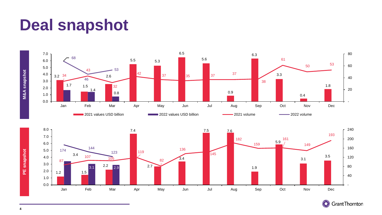## **Deal snapshot**

1.2  $1.5$ 

0.0 1.0



Jan Feb Mar Apr May Jun Jul Aug Sep Oct Nov Dec



 - 40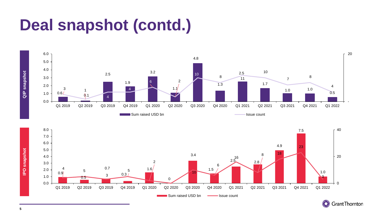## **Deal snapshot (contd.)**







**IPO snapshot**

**IPO** snapshot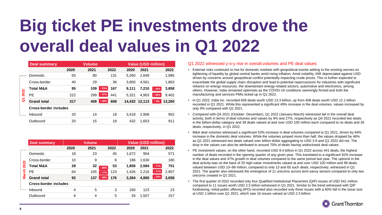# **Big ticket PE investments drove the overall deal values in Q1 2022**

| Deal summary         |      | <b>Volume</b>                |      |                     |       |               |                            |
|----------------------|------|------------------------------|------|---------------------|-------|---------------|----------------------------|
|                      | 2020 | 2021                         | 2022 | 2020                | 2021  |               | 2022                       |
| <b>Domestic</b>      | 55   | 80                           | 131  | 5.260               | 2.649 |               | 1,995                      |
| Cross-border         | 40   | 29                           | 36   | 3.850               | 4.561 |               | 1,863                      |
| <b>Total M&amp;A</b> | 95   | 109                          | 167  | 9.111               | 7,210 | 146%          | 3,858                      |
| PE                   | 222  | 299                          | 441  | 5.321               | 4.903 | ↑92%          | 9,402                      |
| <b>Grand total</b>   | 317  | 408                          | 608  |                     |       | ↑9%           | 13.260                     |
|                      |      |                              |      |                     |       |               |                            |
| Inbound              | 20   | 14                           | 18   | 3.418               | 2,908 |               | 952                        |
| Outbound             | 20   | 15                           | 18   | 432                 | 1,653 |               | 911                        |
|                      |      | <b>Cross-border includes</b> |      | ↑53%<br>47%<br>↑49% |       | 14,432 12,113 | <b>Value (USD million)</b> |

|      | Deal summary                 |      | <b>Volume</b> |              |       | <b>Value (USD million)</b> |      |       |
|------|------------------------------|------|---------------|--------------|-------|----------------------------|------|-------|
|      |                              | 2020 | 2021          | 2022         | 2020  | 2021                       |      | 2022  |
|      | Domestic                     | 18   | 23            | 45           | 1.672 | 954                        |      | 571   |
|      | Cross-border                 | 10   | 9             | 8            | 186   | 1,630                      |      | 180   |
| 2022 | Total M&A                    | 28   | 32            | 53<br>66%    | 1,858 | 2,584                      | ⊥71% | 751   |
| 适    | PE                           | 64   | 105           | 123<br>17%   | 1.426 | 2,216                      | 31%  | 2,907 |
| ē    | <b>Grand total</b>           | 92   | 137           | 176<br>↑ 28% | 3,284 | 4,800                      | 124% | 3,658 |
|      | <b>Cross-border includes</b> |      |               |              |       |                            |      |       |
|      | Inbound                      | 4    | 5             | 3            | 160   | 123                        |      | 23    |
|      | Outbound                     | 6    | 4             | 5            | 26    | 1.507                      |      | 157   |

## Q1 2022 witnessed y-o-y rise in overall volumes and PE deal values

- External risks continued to rise for domestic markets with geopolitical events adding to the existing worries on tightening of liquidity by global central banks amid rising inflation. Amid volatility, INR depreciated against USD driven by concerns around geopolitical conflict potentially impacting crude prices. This is further expected to exacerbate the global supply chain disruption and lead to potential repercussions for industries with significant reliance on energy resources, the downstream energy-related sectors, automotive and electronics, among others. However, India remained optimistic as the COVID-19 conditions seemingly firmed and both the manufacturing and services PMIs ticked up in Q1 2022.
- In Q1 2022, India Inc. recorded 608 deals worth USD 13.3 billion, up from 408 deals worth USD 12.1 billion recorded in Q1 2021. While this represented a significant 49% increase in the deal volumes, values increased by only 9% compared with Q1 2021.
- Compared with Q4 2021 (October- December), Q1 2022 (January-March) witnessed fall in the overall deal activity, both in terms of deal volumes and values by 9% and 27%, respectively as Q4 2021 recorded two deals in the billion-dollar category and 39 deals valued at and over USD 100 million each compared to no deals and 35 deals, respectively, in Q1 2022.
- M&A deal volumes witnessed a significant 53% increase in deal volumes compared to Q1 2021, driven by 64% increase in the domestic deal volumes. While the volumes jumped more than half, the values dropped by 46% as Q1 2021 witnessed two deals valued over billion dollar aggregating to USD 3.9 and Q1 2022 did not. The drop in the values can also be attributed to around 70% of deals having undisclosed deal values.
- PE investment values, on the other hand, recorded USD 9.4 billion in Q1 2022 across 441 deals, the highest number of deals recorded in the opening quarter of any given year. This translated to a significant 92% increase in the deal values and 47% growth in deal volumes compared to the same period last year. The uptrend in the deal activity was on the back of 25 high-value investments valued at and over USD 100 million and 99 deals valued between USD 10–99 million, compared to only 13 and 65 such deals, respectively, witnessed in Q1 2021. The quarter also witnessed the emergence of 11 unicorns across tech-savvy sectors compared to only two unicorns created in Q1 2021.
- The first quarter of 2022 recorded only four Qualified Institutional Placement (QIP) issues of USD 541 million compared to 11 issues worth USD 2.5 billion witnessed in Q1 2021. Similar to the trend witnessed with QIP fundraising, initial public offering (IPO) recorded also recorded only three issues with a 60% fall in the issue size at USD 1 billion over Q1 2021, which saw 16 issues valued at USD 2.5 billion.

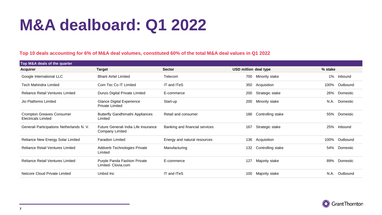## **M&A dealboard: Q1 2022**

## **Top 10 deals accounting for 6% of M&A deal volumes, constituted 60% of the total M&A deal values in Q1 2022**

| Top M&A deals of the quarter                            |                                                         |                                |                          |                  |
|---------------------------------------------------------|---------------------------------------------------------|--------------------------------|--------------------------|------------------|
| Acquirer                                                | <b>Target</b>                                           | <b>Sector</b>                  | USD million deal type    | % stake          |
| Google International LLC                                | <b>Bharti Airtel Limited</b>                            | Telecom                        | Minority stake<br>700    | 1%<br>Inbound    |
| <b>Tech Mahindra Limited</b>                            | Com Tec Co IT Limited                                   | IT and ITeS                    | 350<br>Acquisition       | Outbound<br>100% |
| <b>Reliance Retail Ventures Limited</b>                 | Dunzo Digital Private Limited                           | E-commerce                     | Strategic stake<br>200   | 26%<br>Domestic  |
| Jio Platforms Limited                                   | Glance Digital Experience<br><b>Private Limited</b>     | Start-up                       | Minority stake<br>200    | N.A.<br>Domestic |
| Crompton Greaves Consumer<br><b>Electricals Limited</b> | <b>Butterfly Gandhimathi Appliances</b><br>Limited      | Retail and consumer            | Controlling stake<br>186 | 55%<br>Domestic  |
| Generali Participations Netherlands N.V.                | Future Generali India Life Insurance<br>Company Limited | Banking and financial services | 167<br>Strategic stake   | 25%<br>Inbound   |
| Reliance New Energy Solar Limited                       | <b>Faradion Limited</b>                                 | Energy and natural resources   | 136<br>Acquisition       | 100%<br>Outbound |
| <b>Reliance Retail Ventures Limited</b>                 | Addverb Technologies Private<br>Limited                 | Manufacturing                  | 132<br>Controlling stake | 54%<br>Domestic  |
| Reliance Retail Ventures Limited                        | Purple Panda Fashion Private<br>Limited- Clovia.com     | E-commerce                     | 127<br>Majority stake    | 89%<br>Domestic  |
| Netcore Cloud Private Limited                           | Unbxd Inc                                               | IT and ITeS                    | Majority stake<br>100    | N.A.<br>Outbound |

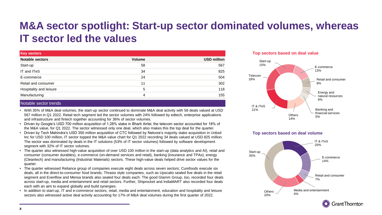## **M&A sector spotlight: Start-up sector dominated volumes, whereas IT sector led the values**

| <b>Key sectors</b>      |        |                    |
|-------------------------|--------|--------------------|
| <b>Notable sectors</b>  | Volume | <b>USD million</b> |
| Start-up                | 58     | 567                |
| IT and ITeS             | 34     | 825                |
| E-commerce              | 24     | 504                |
| Retail and consumer     | 11     | 302                |
| Hospitality and leisure | 5      | 118                |
| Manufacturing           | 4      | 155                |

## Notable sector trends

- With 35% of M&A deal volumes, the start-up sector continued to dominate M&A deal activity with 58 deals valued at USD 567 million in Q1 2022. Retail tech segment led the sector volumes with 24% followed by edtech, enterprise applications and infrastructure and fintech together accounting for 36% of sector volumes.
- Driven by Google's USD 700 million acquisition of 1.28% stake in Bharti Airtel, the telecom sector accounted for 18% of the M&A value, for Q1 2022. The sector witnessed only one deal, which also makes this the top deal for the quarter.
- Driven by Tech Mahindra's USD 350 million acquisition of CTC followed by Netcore's majority stake acquisition in Unbxd Inc for USD 100 million, IT sector topped the M&A value chart for Q1 2022 recording 34 deals valued at USD 825 million. The sector was dominated by deals in the IT solutions (53% of IT sector volumes) followed by software development segment with 32% of IT sector volumes.
- The quarter also witnessed high-value acquisition of over USD 100 million in the start-up (data analytics and AI), retail and consumer (consumer durables), e-commerce (on-demand services and retail), banking (insurance and TPAs), energy (Cleantech) and manufacturing (Industrial Materials) sectors. These high-value deals helped drive sector values for the quarter.
- The quarter witnessed Reliance group of companies execute eight deals across seven sectors; Curefoods execute six deals, all in the direct-to-consumer food brands; Thrasio style companies, such as Upscalio sealed five deals in the retail segment and Evenflow and Mensa brands also sealed four deals each. The good Glamm Group, too, recorded four deals across start-up, media and entertainment and retail sectors. Further, Shiprocket and IndiaMART also recorded four deals each with an aim to expand globally and build synergies.
- In addition to start-up, IT and e-commerce sectors, retail, media and entertainment, education and hospitality and leisure sectors also witnessed active deal activity accounting for 17% of M&A deal volumes during the first quarter of 2022.





## **Top sectors based on deal volume**



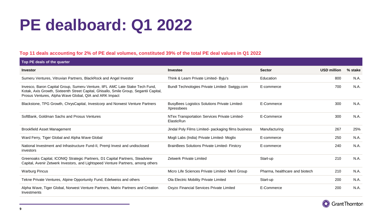## **PE dealboard: Q1 2022**

## **Top 11 deals accounting for 2% of PE deal volumes, constituted 39% of the total PE deal values in Q1 2022**

| Top PE deals of the quarter                                                                                                                                                                                                      |                                                                    |                                |                    |         |
|----------------------------------------------------------------------------------------------------------------------------------------------------------------------------------------------------------------------------------|--------------------------------------------------------------------|--------------------------------|--------------------|---------|
| Investor                                                                                                                                                                                                                         | Investee                                                           | <b>Sector</b>                  | <b>USD million</b> | % stake |
| Sumeru Ventures, Vitruvian Partners, BlackRock and Angel Investor                                                                                                                                                                | Think & Learn Private Limited- Byju's                              | Education                      | 800                | N.A.    |
| Invesco, Baron Capital Group, Sumeru Venture, IIFL AMC Late Stake Tech Fund,<br>Kotak, Axis Growth, Sixteenth Street Capital, Ghisallo, Smile Group, Segantii Capital,<br>Prosus Ventures, Alpha Wave Global, QIA and ARK Impact | Bundl Technologies Private Limited- Swiggy.com                     | E-commerce                     | 700                | N.A.    |
| Blackstone, TPG Growth, ChrysCapital, Investcorp and Norwest Venture Partners                                                                                                                                                    | <b>BusyBees Logistics Solutions Private Limited-</b><br>Xpressbees | E-Commerce                     | 300                | N.A.    |
| SoftBank, Goldman Sachs and Prosus Ventures                                                                                                                                                                                      | NTex Transportation Services Private Limited-<br>ElasticRun        | E-Commerce                     | 300                | N.A.    |
| <b>Brookfield Asset Management</b>                                                                                                                                                                                               | Jindal Poly Films Limited- packaging films business                | Manufacturing                  | 267                | 25%     |
| Ward Ferry, Tiger Global and Alpha Wave Global                                                                                                                                                                                   | Mogli Labs (India) Private Limited- Moglix                         | E-commerce                     | 250                | N.A.    |
| National Investment and Infrastructure Fund-II, Premji Invest and undisclosed<br>investors                                                                                                                                       | <b>BrainBees Solutions Private Limited- Firstcry</b>               | E-commerce                     | 240                | N.A.    |
| Greenoaks Capital, ICONIQ Strategic Partners, D1 Capital Partners, Steadview<br>Capital, Avenir Zetwerk Investors, and Lightspeed Venture Partners, among others                                                                 | <b>Zetwerk Private Limited</b>                                     | Start-up                       | 210                | N.A.    |
| <b>Warburg Pincus</b>                                                                                                                                                                                                            | Micro Life Sciences Private Limited- Meril Group                   | Pharma, healthcare and biotech | 210                | N.A.    |
| Tekne Private Ventures, Alpine Opportunity Fund, Edelweiss and others                                                                                                                                                            | Ola Electric Mobility Private Limited                              | Start-up                       | 200                | N.A.    |
| Alpha Wave, Tiger Global, Norwest Venture Partners, Matrix Partners and Creation<br>Investments                                                                                                                                  | Oxyzo Financial Services Private Limited                           | E-Commerce                     | 200                | N.A.    |

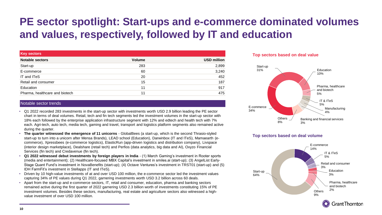## **PE sector spotlight: Start-ups and e-commerce dominated volumes and values, respectively, followed by IT and education**

| <b>Key sectors</b>             |        |                    |
|--------------------------------|--------|--------------------|
| <b>Notable sectors</b>         | Volume | <b>USD million</b> |
| Start-up                       | 283    | 2,899              |
| E-commerce                     | 60     | 3,240              |
| IT and ITeS                    | 20     | 452                |
| Retail and consumer            | 15     | 187                |
| Education                      | 11     | 917                |
| Pharma, healthcare and biotech | 11     | 475                |

## Notable sector trends

- Q1 2022 recorded 283 investments in the start-up sector with investments worth USD 2.9 billion leading the PE sector chart in terms of deal volumes. Retail, tech and fin tech segments led the investment volumes in the start-up sector with 18% each followed by the enterprise application infrastructure segment with 12% and edtech and health tech with 7% each. Agri-tech, auto tech, media tech, gaming and travel, transport and logistics platform segments also remained active during the quarter.
- **The quarter witnessed the emergence of 11 unicorns**  GlobalBees (a start-up, which is the second Thrasio-styled start-up to turn into a unicorn after Mensa Brands), LEAD school (Education), Darwinbox (IT and ITeS), Mamaearth (ecommerce), Xpressbees (e-commerce logistics), ElasticRun (app-driven logistics and distribution company), Livspace (interior design marketplace), Dealshare (retail tech) and Perfios (data analytics, big data and AI), Oxyzo Financial Services (fin tech) and Credavenue (fin tech).
- **Q1 2022 witnessed debut investments by foreign players in India**  (1) March Gaming's investment in Rooter sports (media and entertainment); (2) Healthcare-focused MBX Capital's investment in smiles.ai (start-up); (3) AngelList Early-Stage Quant Fund's investment in NovaBenefits (start-up); (4) Octave Ventures's investment in TRST01 (start-up) and (5) IDH FarmFit's investment in Stellapps (IT and ITeS).
- Driven by 10 high-value investments of at and over USD 100 million, the e-commerce sector led the investment values capturing 34% of PE values during Q1 2022, garnering investments worth USD 3.2 billion across 60 deals.
- Apart from the start-up and e-commerce sectors, IT, retail and consumer, education, pharma and banking sectors remained active during the first quarter of 2022 garnering USD 2.3 billion worth of investments constituting 15% of PE investment volumes. Besides these sectors, manufacturing, real estate and agriculture sectors also witnessed a highvalue investment of over USD 100 million.





## **Top sectors based on deal volume**

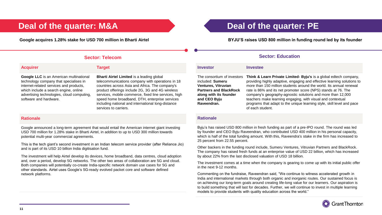advertising technologies, cloud computing,

| <b>Acquirer</b>                         | <b>Target</b>                        |
|-----------------------------------------|--------------------------------------|
| Google LLC is an American multinational | <b>Bharti Airtel Limited is a le</b> |
| technology company that specialises in  | telecommunications compar            |
| internet-related services and products, | countries across Asia and A          |
| which include a search engine, online   | product offerings include 2G         |

**Baarting global** ny with operations in 18 frica. The company's i. 3G and 4G wireless services, mobile commerce, fixed line services, high speed home broadband, DTH, enterprise services including national and international long-distance services to carriers.

## **Rationale**

software and hardware.

Google announced a long-term agreement that would entail the American internet giant investing USD 700 million for 1.28% stake in Bharti Airtel, in addition to up to USD 300 million towards potential multi-year commercial agreements.

This is the tech giant's second investment in an Indian telecom service provider (after Reliance Jio) and is part of its USD 10 billion India digitisation fund.

The investment will help Airtel develop its devices, home broadband, data centres, cloud adoption and, over a period, develop 5G networks. The other two areas of collaboration are 5G and cloud. Both companies will potentially co-create India-specific network domain use cases for 5G and other standards. Airtel uses Google's 5G-ready evolved packet core and software defined network platforms.

## **Deal of the quarter: M&A Deal of the quarter: PE**

**Google acquires 1.28% stake for USD 700 million in Bharti Airtel BYJU'S raises USD 800 million in funding round led by its founder**

## **Sector: Telecom Sector: Education**

#### **Investor Investee**

The consortium of investors included: **Sumeru Ventures, Vitruvian Partners and BlackRock along with its founder and CEO Byju Raveendran.**

**Think & Learn Private Limited- Byju's** is a global edtech company, providing highly adaptive, engaging and effective learning solutions to more than 150 million students around the world. Its annual renewal rate is 86% and its net promoter score (NPS) stands at 76. The company's geography-agnostic solutions and more than 12,000 teachers make learning engaging, with visual and contextual programs that adapt to the unique learning style, skill level and pace of each student.

### **Rationale**

Byju's has raised USD 800 million in fresh funding as part of a pre-IPO round. The round was led by founder and CEO Byju Raveendran, who contributed USD 400 million in his personal capacity, which is half of the total funding amount. With this, Raveendra's stake in the firm has increased to 25 percent from 22.55 percent.

Other backers in the funding round include, Sumeru Ventures, Vitruvian Partners and BlackRock. The company has raised fresh funds at an enterprise value of USD 22 billion, which has increased by about 22% from the last disclosed valuation of USD 18 billion.

The investment comes at a time when the company is gearing to come up with its initial public offer in the next 9-12 months.

Commenting on the fundraise, Raveendran said, "We continue to witness accelerated growth in India and international markets through both organic and inorganic routes. Our sustained focus is on achieving our long-term goals around creating life-long value for our learners. Our aspiration is to build something that will last for decades. Further, we will continue to invest in multiple learning models to provide students with quality education across the world."

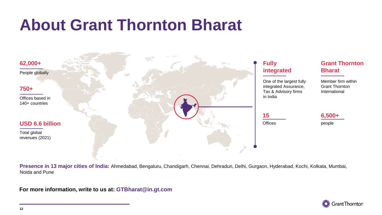## **About Grant Thornton Bharat**



**Presence in 13 major cities of India:** Ahmedabad, Bengaluru, Chandigarh, Chennai, Dehradun, Delhi, Gurgaon, Hyderabad, Kochi, Kolkata, Mumbai, Noida and Pune

**For more information, write to us at: GTBharat@in.gt.com**